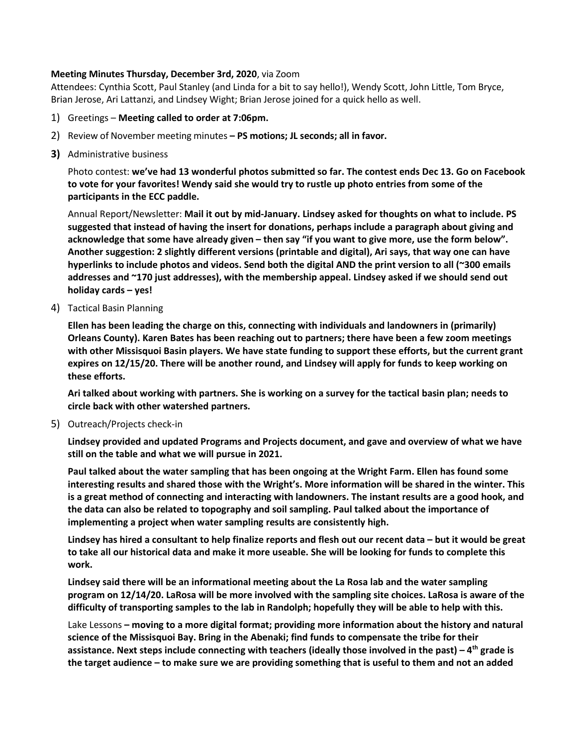## **Meeting Minutes Thursday, December 3rd, 2020**, via Zoom

Attendees: Cynthia Scott, Paul Stanley (and Linda for a bit to say hello!), Wendy Scott, John Little, Tom Bryce, Brian Jerose, Ari Lattanzi, and Lindsey Wight; Brian Jerose joined for a quick hello as well.

- 1) Greetings **Meeting called to order at 7:06pm.**
- 2) Review of November meeting minutes **– PS motions; JL seconds; all in favor.**
- **3)** Administrative business

Photo contest: **we've had 13 wonderful photos submitted so far. The contest ends Dec 13. Go on Facebook to vote for your favorites! Wendy said she would try to rustle up photo entries from some of the participants in the ECC paddle.**

Annual Report/Newsletter: **Mail it out by mid-January. Lindsey asked for thoughts on what to include. PS suggested that instead of having the insert for donations, perhaps include a paragraph about giving and acknowledge that some have already given – then say "if you want to give more, use the form below". Another suggestion: 2 slightly different versions (printable and digital), Ari says, that way one can have hyperlinks to include photos and videos. Send both the digital AND the print version to all (~300 emails addresses and ~170 just addresses), with the membership appeal. Lindsey asked if we should send out holiday cards – yes!**

4) Tactical Basin Planning

**Ellen has been leading the charge on this, connecting with individuals and landowners in (primarily) Orleans County). Karen Bates has been reaching out to partners; there have been a few zoom meetings with other Missisquoi Basin players. We have state funding to support these efforts, but the current grant expires on 12/15/20. There will be another round, and Lindsey will apply for funds to keep working on these efforts.**

**Ari talked about working with partners. She is working on a survey for the tactical basin plan; needs to circle back with other watershed partners.**

5) Outreach/Projects check-in

**Lindsey provided and updated Programs and Projects document, and gave and overview of what we have still on the table and what we will pursue in 2021.**

**Paul talked about the water sampling that has been ongoing at the Wright Farm. Ellen has found some interesting results and shared those with the Wright's. More information will be shared in the winter. This is a great method of connecting and interacting with landowners. The instant results are a good hook, and the data can also be related to topography and soil sampling. Paul talked about the importance of implementing a project when water sampling results are consistently high.**

**Lindsey has hired a consultant to help finalize reports and flesh out our recent data – but it would be great to take all our historical data and make it more useable. She will be looking for funds to complete this work.**

**Lindsey said there will be an informational meeting about the La Rosa lab and the water sampling program on 12/14/20. LaRosa will be more involved with the sampling site choices. LaRosa is aware of the difficulty of transporting samples to the lab in Randolph; hopefully they will be able to help with this.**

Lake Lessons **– moving to a more digital format; providing more information about the history and natural science of the Missisquoi Bay. Bring in the Abenaki; find funds to compensate the tribe for their assistance. Next steps include connecting with teachers (ideally those involved in the past) – 4th grade is the target audience – to make sure we are providing something that is useful to them and not an added**